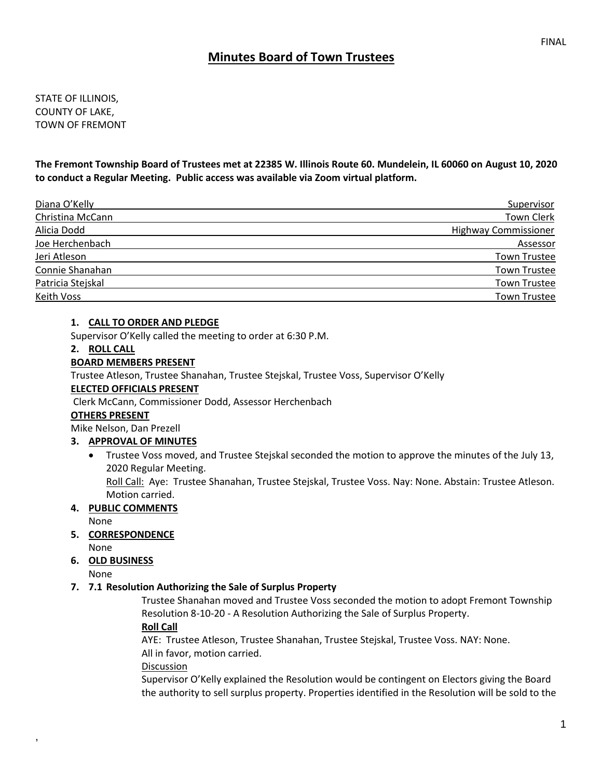# **Minutes Board of Town Trustees**

STATE OF ILLINOIS, COUNTY OF LAKE, TOWN OF FREMONT

**The Fremont Township Board of Trustees met at 22385 W. Illinois Route 60. Mundelein, IL 60060 on August 10, 2020 to conduct a Regular Meeting. Public access was available via Zoom virtual platform.**

| Diana O'Kelly     | Supervisor                  |
|-------------------|-----------------------------|
| Christina McCann  | <b>Town Clerk</b>           |
| Alicia Dodd       | <b>Highway Commissioner</b> |
| Joe Herchenbach   | Assessor                    |
| Jeri Atleson      | <b>Town Trustee</b>         |
| Connie Shanahan   | Town Trustee                |
| Patricia Stejskal | <b>Town Trustee</b>         |
| Keith Voss        | <b>Town Trustee</b>         |

### **1. CALL TO ORDER AND PLEDGE**

Supervisor O'Kelly called the meeting to order at 6:30 P.M.

#### **2. ROLL CALL**

#### **BOARD MEMBERS PRESENT**

Trustee Atleson, Trustee Shanahan, Trustee Stejskal, Trustee Voss, Supervisor O'Kelly

#### **ELECTED OFFICIALS PRESENT**

Clerk McCann, Commissioner Dodd, Assessor Herchenbach

#### **OTHERS PRESENT**

Mike Nelson, Dan Prezell

### **3. APPROVAL OF MINUTES**

• Trustee Voss moved, and Trustee Stejskal seconded the motion to approve the minutes of the July 13, 2020 Regular Meeting.

Roll Call: Aye: Trustee Shanahan, Trustee Stejskal, Trustee Voss. Nay: None. Abstain: Trustee Atleson. Motion carried.

### **4. PUBLIC COMMENTS**

None

### **5. CORRESPONDENCE**

None

**6. OLD BUSINESS**

None

,

### **7. 7.1 Resolution Authorizing the Sale of Surplus Property**

Trustee Shanahan moved and Trustee Voss seconded the motion to adopt Fremont Township Resolution 8-10-20 - A Resolution Authorizing the Sale of Surplus Property. **Roll Call**

AYE: Trustee Atleson, Trustee Shanahan, Trustee Stejskal, Trustee Voss. NAY: None.

All in favor, motion carried.

Discussion

Supervisor O'Kelly explained the Resolution would be contingent on Electors giving the Board the authority to sell surplus property. Properties identified in the Resolution will be sold to the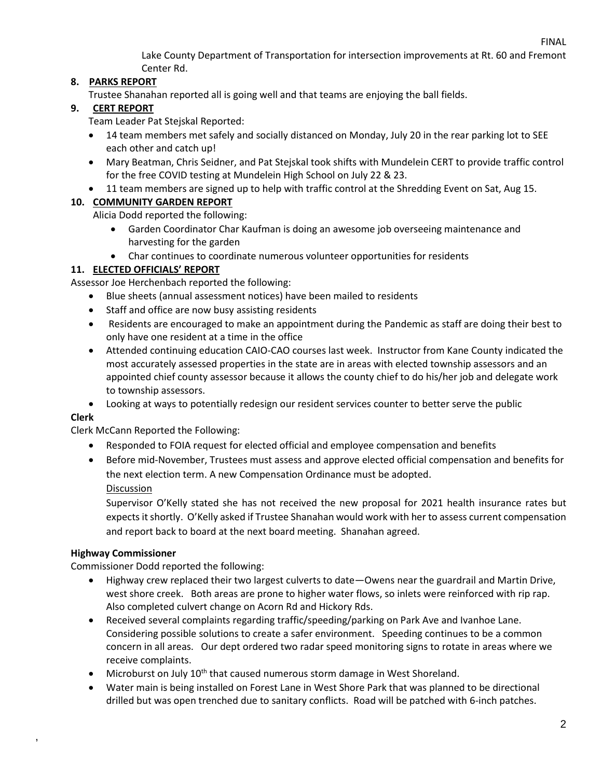FINAL

Lake County Department of Transportation for intersection improvements at Rt. 60 and Fremont Center Rd.

# **8. PARKS REPORT**

Trustee Shanahan reported all is going well and that teams are enjoying the ball fields.

# **9. CERT REPORT**

Team Leader Pat Stejskal Reported:

- 14 team members met safely and socially distanced on Monday, July 20 in the rear parking lot to SEE each other and catch up!
- Mary Beatman, Chris Seidner, and Pat Stejskal took shifts with Mundelein CERT to provide traffic control for the free COVID testing at Mundelein High School on July 22 & 23.
- 11 team members are signed up to help with traffic control at the Shredding Event on Sat, Aug 15.

# **10. COMMUNITY GARDEN REPORT**

Alicia Dodd reported the following:

- Garden Coordinator Char Kaufman is doing an awesome job overseeing maintenance and harvesting for the garden
- Char continues to coordinate numerous volunteer opportunities for residents

# **11. ELECTED OFFICIALS' REPORT**

Assessor Joe Herchenbach reported the following:

- Blue sheets (annual assessment notices) have been mailed to residents
- Staff and office are now busy assisting residents
- Residents are encouraged to make an appointment during the Pandemic as staff are doing their best to only have one resident at a time in the office
- Attended continuing education CAIO-CAO courses last week. Instructor from Kane County indicated the most accurately assessed properties in the state are in areas with elected township assessors and an appointed chief county assessor because it allows the county chief to do his/her job and delegate work to township assessors.
- Looking at ways to potentially redesign our resident services counter to better serve the public

# **Clerk**

,

Clerk McCann Reported the Following:

- Responded to FOIA request for elected official and employee compensation and benefits
- Before mid-November, Trustees must assess and approve elected official compensation and benefits for the next election term. A new Compensation Ordinance must be adopted. Discussion

Supervisor O'Kelly stated she has not received the new proposal for 2021 health insurance rates but expects it shortly. O'Kelly asked if Trustee Shanahan would work with her to assess current compensation and report back to board at the next board meeting. Shanahan agreed.

# **Highway Commissioner**

Commissioner Dodd reported the following:

- Highway crew replaced their two largest culverts to date—Owens near the guardrail and Martin Drive, west shore creek. Both areas are prone to higher water flows, so inlets were reinforced with rip rap. Also completed culvert change on Acorn Rd and Hickory Rds.
- Received several complaints regarding traffic/speeding/parking on Park Ave and Ivanhoe Lane. Considering possible solutions to create a safer environment. Speeding continues to be a common concern in all areas. Our dept ordered two radar speed monitoring signs to rotate in areas where we receive complaints.
- Microburst on July  $10^{th}$  that caused numerous storm damage in West Shoreland.
- Water main is being installed on Forest Lane in West Shore Park that was planned to be directional drilled but was open trenched due to sanitary conflicts. Road will be patched with 6-inch patches.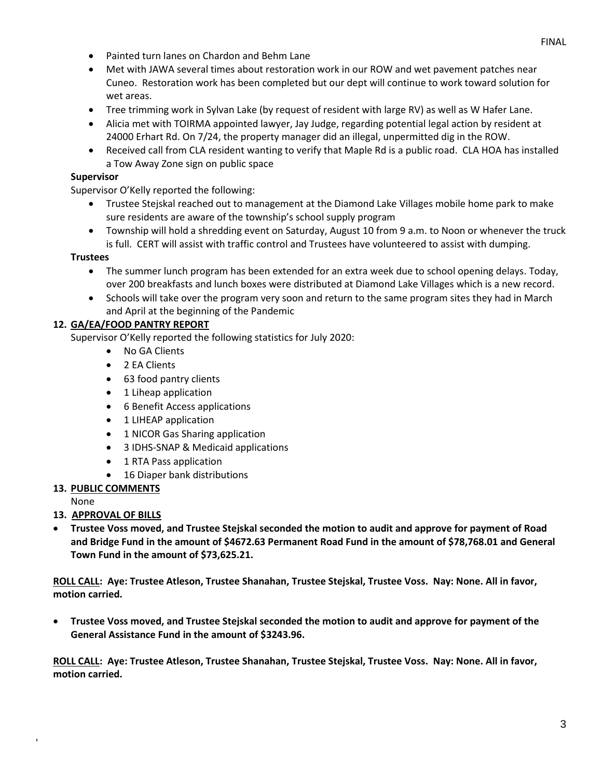- Painted turn lanes on Chardon and Behm Lane
- Met with JAWA several times about restoration work in our ROW and wet pavement patches near Cuneo. Restoration work has been completed but our dept will continue to work toward solution for wet areas.
- Tree trimming work in Sylvan Lake (by request of resident with large RV) as well as W Hafer Lane.
- Alicia met with TOIRMA appointed lawyer, Jay Judge, regarding potential legal action by resident at 24000 Erhart Rd. On 7/24, the property manager did an illegal, unpermitted dig in the ROW.
- Received call from CLA resident wanting to verify that Maple Rd is a public road. CLA HOA has installed a Tow Away Zone sign on public space

### **Supervisor**

Supervisor O'Kelly reported the following:

- Trustee Stejskal reached out to management at the Diamond Lake Villages mobile home park to make sure residents are aware of the township's school supply program
- Township will hold a shredding event on Saturday, August 10 from 9 a.m. to Noon or whenever the truck is full. CERT will assist with traffic control and Trustees have volunteered to assist with dumping.

### **Trustees**

- The summer lunch program has been extended for an extra week due to school opening delays. Today, over 200 breakfasts and lunch boxes were distributed at Diamond Lake Villages which is a new record.
- Schools will take over the program very soon and return to the same program sites they had in March and April at the beginning of the Pandemic

### **12. GA/EA/FOOD PANTRY REPORT**

Supervisor O'Kelly reported the following statistics for July 2020:

- No GA Clients
- 2 EA Clients
- 63 food pantry clients
- 1 Liheap application
- 6 Benefit Access applications
- 1 LIHEAP application
- 1 NICOR Gas Sharing application
- 3 IDHS-SNAP & Medicaid applications
- 1 RTA Pass application
- 16 Diaper bank distributions

### **13. PUBLIC COMMENTS**

None

,

### **13. APPROVAL OF BILLS**

• **Trustee Voss moved, and Trustee Stejskal seconded the motion to audit and approve for payment of Road and Bridge Fund in the amount of \$4672.63 Permanent Road Fund in the amount of \$78,768.01 and General Town Fund in the amount of \$73,625.21.**

**ROLL CALL: Aye: Trustee Atleson, Trustee Shanahan, Trustee Stejskal, Trustee Voss. Nay: None. All in favor, motion carried.**

• **Trustee Voss moved, and Trustee Stejskal seconded the motion to audit and approve for payment of the General Assistance Fund in the amount of \$3243.96.** 

**ROLL CALL: Aye: Trustee Atleson, Trustee Shanahan, Trustee Stejskal, Trustee Voss. Nay: None. All in favor, motion carried.**